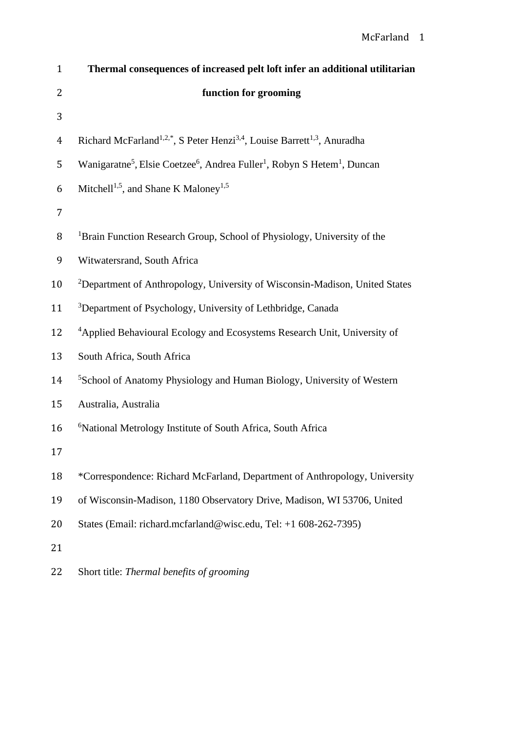| $\mathbf{1}$   | Thermal consequences of increased pelt loft infer an additional utilitarian                                              |  |  |  |  |  |
|----------------|--------------------------------------------------------------------------------------------------------------------------|--|--|--|--|--|
| 2              | function for grooming                                                                                                    |  |  |  |  |  |
| 3              |                                                                                                                          |  |  |  |  |  |
| $\overline{4}$ | Richard McFarland <sup>1,2,*</sup> , S Peter Henzi <sup>3,4</sup> , Louise Barrett <sup>1,3</sup> , Anuradha             |  |  |  |  |  |
| 5              | Wanigaratne <sup>5</sup> , Elsie Coetzee <sup>6</sup> , Andrea Fuller <sup>1</sup> , Robyn S Hetem <sup>1</sup> , Duncan |  |  |  |  |  |
| 6              | Mitchell <sup>1,5</sup> , and Shane K Maloney <sup>1,5</sup>                                                             |  |  |  |  |  |
| 7              |                                                                                                                          |  |  |  |  |  |
| 8              | <sup>1</sup> Brain Function Research Group, School of Physiology, University of the                                      |  |  |  |  |  |
| 9              | Witwatersrand, South Africa                                                                                              |  |  |  |  |  |
| 10             | <sup>2</sup> Department of Anthropology, University of Wisconsin-Madison, United States                                  |  |  |  |  |  |
| 11             | <sup>3</sup> Department of Psychology, University of Lethbridge, Canada                                                  |  |  |  |  |  |
| 12             | <sup>4</sup> Applied Behavioural Ecology and Ecosystems Research Unit, University of                                     |  |  |  |  |  |
| 13             | South Africa, South Africa                                                                                               |  |  |  |  |  |
| 14             | <sup>5</sup> School of Anatomy Physiology and Human Biology, University of Western                                       |  |  |  |  |  |
| 15             | Australia, Australia                                                                                                     |  |  |  |  |  |
| 16             | <sup>6</sup> National Metrology Institute of South Africa, South Africa                                                  |  |  |  |  |  |
| 17             |                                                                                                                          |  |  |  |  |  |
| 18             | *Correspondence: Richard McFarland, Department of Anthropology, University                                               |  |  |  |  |  |
| 19             | of Wisconsin-Madison, 1180 Observatory Drive, Madison, WI 53706, United                                                  |  |  |  |  |  |
| 20             | States (Email: richard.mcfarland@wisc.edu, Tel: +1 608-262-7395)                                                         |  |  |  |  |  |
| 21             |                                                                                                                          |  |  |  |  |  |
| 22             | Short title: Thermal benefits of grooming                                                                                |  |  |  |  |  |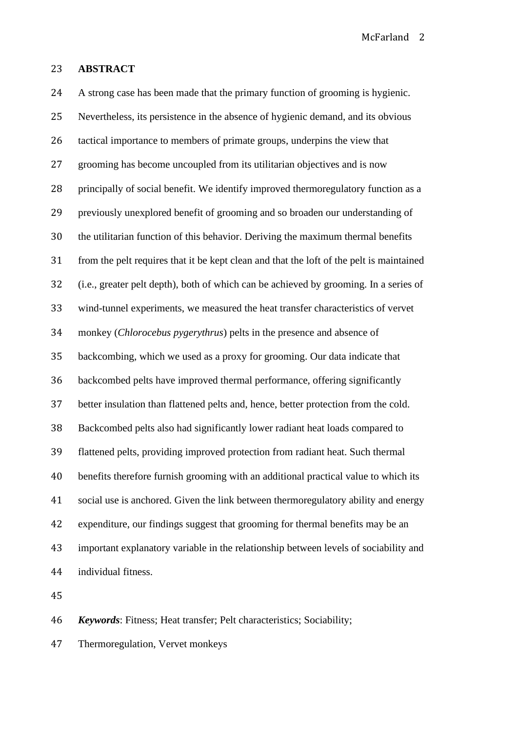#### **ABSTRACT**

 A strong case has been made that the primary function of grooming is hygienic. Nevertheless, its persistence in the absence of hygienic demand, and its obvious tactical importance to members of primate groups, underpins the view that grooming has become uncoupled from its utilitarian objectives and is now principally of social benefit. We identify improved thermoregulatory function as a previously unexplored benefit of grooming and so broaden our understanding of the utilitarian function of this behavior. Deriving the maximum thermal benefits from the pelt requires that it be kept clean and that the loft of the pelt is maintained (i.e., greater pelt depth), both of which can be achieved by grooming. In a series of wind-tunnel experiments, we measured the heat transfer characteristics of vervet monkey (*Chlorocebus pygerythrus*) pelts in the presence and absence of backcombing, which we used as a proxy for grooming. Our data indicate that backcombed pelts have improved thermal performance, offering significantly better insulation than flattened pelts and, hence, better protection from the cold. Backcombed pelts also had significantly lower radiant heat loads compared to flattened pelts, providing improved protection from radiant heat. Such thermal benefits therefore furnish grooming with an additional practical value to which its social use is anchored. Given the link between thermoregulatory ability and energy expenditure, our findings suggest that grooming for thermal benefits may be an important explanatory variable in the relationship between levels of sociability and individual fitness.

*Keywords*: Fitness; Heat transfer; Pelt characteristics; Sociability;

Thermoregulation, Vervet monkeys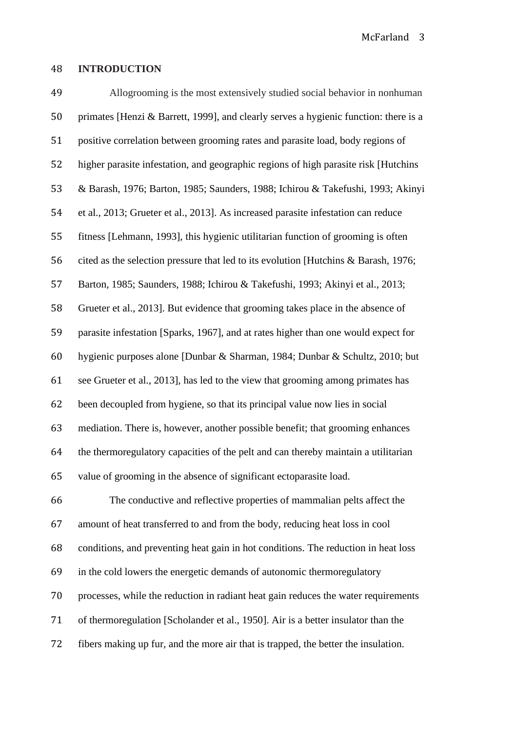### **INTRODUCTION**

 Allogrooming is the most extensively studied social behavior in nonhuman primates [Henzi & Barrett, 1999], and clearly serves a hygienic function: there is a positive correlation between grooming rates and parasite load, body regions of higher parasite infestation, and geographic regions of high parasite risk [Hutchins & Barash, 1976; Barton, 1985; Saunders, 1988; Ichirou & Takefushi, 1993; Akinyi et al., 2013; Grueter et al., 2013]. As increased parasite infestation can reduce fitness [Lehmann, 1993], this hygienic utilitarian function of grooming is often cited as the selection pressure that led to its evolution [Hutchins & Barash, 1976; Barton, 1985; Saunders, 1988; Ichirou & Takefushi, 1993; Akinyi et al., 2013; Grueter et al., 2013]. But evidence that grooming takes place in the absence of parasite infestation [Sparks, 1967], and at rates higher than one would expect for hygienic purposes alone [Dunbar & Sharman, 1984; Dunbar & Schultz, 2010; but see Grueter et al., 2013], has led to the view that grooming among primates has been decoupled from hygiene, so that its principal value now lies in social mediation. There is, however, another possible benefit; that grooming enhances the thermoregulatory capacities of the pelt and can thereby maintain a utilitarian value of grooming in the absence of significant ectoparasite load. The conductive and reflective properties of mammalian pelts affect the amount of heat transferred to and from the body, reducing heat loss in cool conditions, and preventing heat gain in hot conditions. The reduction in heat loss in the cold lowers the energetic demands of autonomic thermoregulatory processes, while the reduction in radiant heat gain reduces the water requirements of thermoregulation [Scholander et al., 1950]. Air is a better insulator than the fibers making up fur, and the more air that is trapped, the better the insulation.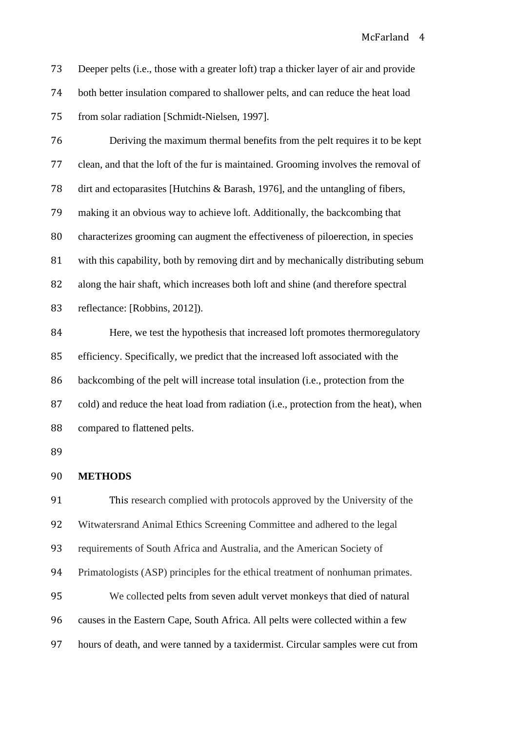McFarland 4

 Deeper pelts (i.e., those with a greater loft) trap a thicker layer of air and provide both better insulation compared to shallower pelts, and can reduce the heat load from solar radiation [Schmidt-Nielsen, 1997].

 Deriving the maximum thermal benefits from the pelt requires it to be kept clean, and that the loft of the fur is maintained. Grooming involves the removal of dirt and ectoparasites [Hutchins & Barash, 1976], and the untangling of fibers, making it an obvious way to achieve loft. Additionally, the backcombing that characterizes grooming can augment the effectiveness of piloerection, in species with this capability, both by removing dirt and by mechanically distributing sebum along the hair shaft, which increases both loft and shine (and therefore spectral reflectance: [Robbins, 2012]).

84 Here, we test the hypothesis that increased loft promotes thermoregulatory efficiency. Specifically, we predict that the increased loft associated with the backcombing of the pelt will increase total insulation (i.e., protection from the cold) and reduce the heat load from radiation (i.e., protection from the heat), when compared to flattened pelts.

### **METHODS**

 This research complied with protocols approved by the University of the Witwatersrand Animal Ethics Screening Committee and adhered to the legal requirements of South Africa and Australia, and the American Society of Primatologists (ASP) principles for the ethical treatment of nonhuman primates. We collected pelts from seven adult vervet monkeys that died of natural causes in the Eastern Cape, South Africa. All pelts were collected within a few hours of death, and were tanned by a taxidermist. Circular samples were cut from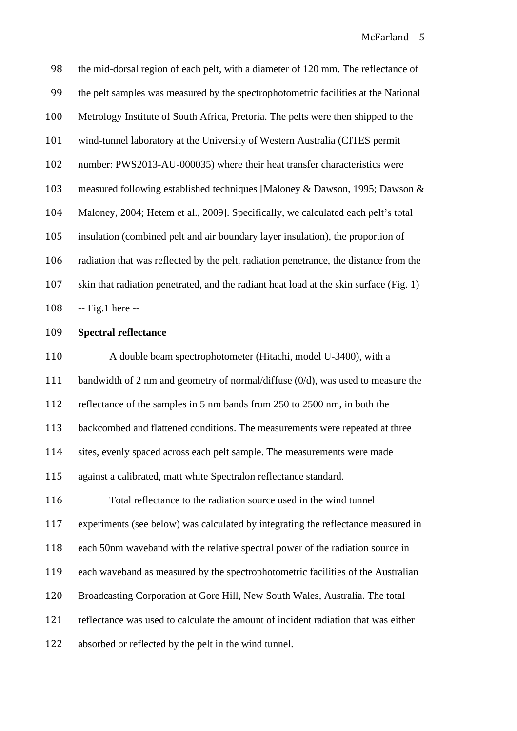the mid-dorsal region of each pelt, with a diameter of 120 mm. The reflectance of the pelt samples was measured by the spectrophotometric facilities at the National Metrology Institute of South Africa, Pretoria. The pelts were then shipped to the wind-tunnel laboratory at the University of Western Australia (CITES permit number: PWS2013-AU-000035) where their heat transfer characteristics were measured following established techniques [Maloney & Dawson, 1995; Dawson & Maloney, 2004; Hetem et al., 2009]. Specifically, we calculated each pelt's total insulation (combined pelt and air boundary layer insulation), the proportion of radiation that was reflected by the pelt, radiation penetrance, the distance from the skin that radiation penetrated, and the radiant heat load at the skin surface (Fig. 1) -- Fig.1 here -- **Spectral reflectance** A double beam spectrophotometer (Hitachi, model U-3400), with a

bandwidth of 2 nm and geometry of normal/diffuse (0/d), was used to measure the

reflectance of the samples in 5 nm bands from 250 to 2500 nm, in both the

backcombed and flattened conditions. The measurements were repeated at three

sites, evenly spaced across each pelt sample. The measurements were made

against a calibrated, matt white Spectralon reflectance standard.

 Total reflectance to the radiation source used in the wind tunnel experiments (see below) was calculated by integrating the reflectance measured in

each 50nm waveband with the relative spectral power of the radiation source in

each waveband as measured by the spectrophotometric facilities of the Australian

Broadcasting Corporation at Gore Hill, New South Wales, Australia. The total

reflectance was used to calculate the amount of incident radiation that was either

absorbed or reflected by the pelt in the wind tunnel.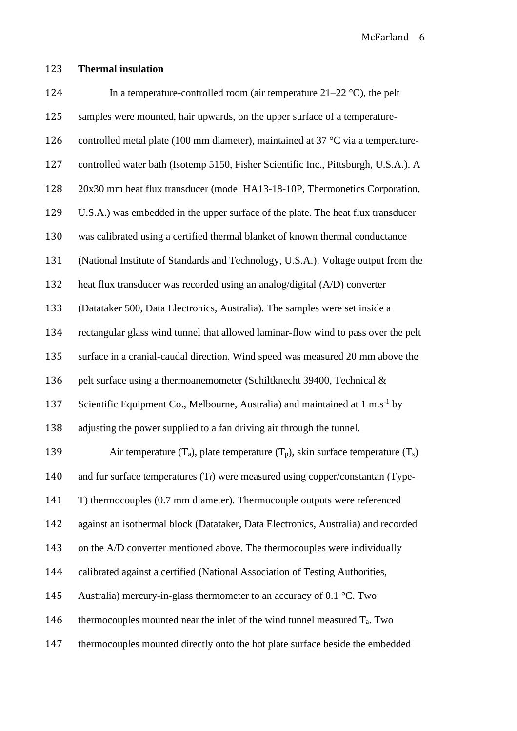## **Thermal insulation**

| 124 | In a temperature-controlled room (air temperature $21-22$ °C), the pelt                    |
|-----|--------------------------------------------------------------------------------------------|
| 125 | samples were mounted, hair upwards, on the upper surface of a temperature-                 |
| 126 | controlled metal plate (100 mm diameter), maintained at 37 $^{\circ}$ C via a temperature- |
| 127 | controlled water bath (Isotemp 5150, Fisher Scientific Inc., Pittsburgh, U.S.A.). A        |
| 128 | 20x30 mm heat flux transducer (model HA13-18-10P, Thermonetics Corporation,                |
| 129 | U.S.A.) was embedded in the upper surface of the plate. The heat flux transducer           |
| 130 | was calibrated using a certified thermal blanket of known thermal conductance              |
| 131 | (National Institute of Standards and Technology, U.S.A.). Voltage output from the          |
| 132 | heat flux transducer was recorded using an analog/digital (A/D) converter                  |
| 133 | (Datataker 500, Data Electronics, Australia). The samples were set inside a                |
| 134 | rectangular glass wind tunnel that allowed laminar-flow wind to pass over the pelt         |
| 135 | surface in a cranial-caudal direction. Wind speed was measured 20 mm above the             |
| 136 | pelt surface using a thermoanemometer (Schiltknecht 39400, Technical &                     |
| 137 | Scientific Equipment Co., Melbourne, Australia) and maintained at $1 \text{ m.s}^{-1}$ by  |
| 138 | adjusting the power supplied to a fan driving air through the tunnel.                      |
| 139 | Air temperature $(T_a)$ , plate temperature $(T_p)$ , skin surface temperature $(T_s)$     |
| 140 | and fur surface temperatures $(T_f)$ were measured using copper/constantan (Type-          |
| 141 | T) thermocouples (0.7 mm diameter). Thermocouple outputs were referenced                   |
| 142 | against an isothermal block (Datataker, Data Electronics, Australia) and recorded          |
| 143 | on the A/D converter mentioned above. The thermocouples were individually                  |
| 144 | calibrated against a certified (National Association of Testing Authorities,               |
| 145 | Australia) mercury-in-glass thermometer to an accuracy of 0.1 $^{\circ}$ C. Two            |
| 146 | thermocouples mounted near the inlet of the wind tunnel measured $T_a$ . Two               |
| 147 | thermocouples mounted directly onto the hot plate surface beside the embedded              |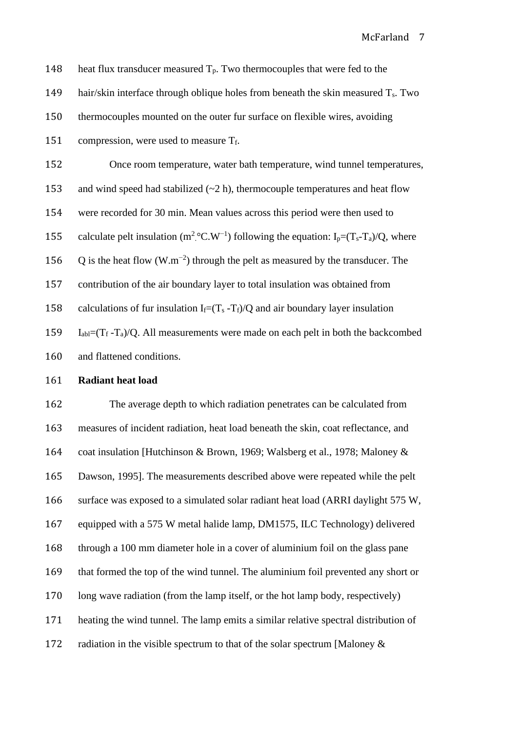| 148 | heat flux transducer measured $T_p$ . Two thermocouples that were fed to the                                                              |  |  |  |  |  |
|-----|-------------------------------------------------------------------------------------------------------------------------------------------|--|--|--|--|--|
| 149 | hair/skin interface through oblique holes from beneath the skin measured $T_s$ . Two                                                      |  |  |  |  |  |
| 150 | thermocouples mounted on the outer fur surface on flexible wires, avoiding                                                                |  |  |  |  |  |
| 151 | compression, were used to measure Tf.                                                                                                     |  |  |  |  |  |
| 152 | Once room temperature, water bath temperature, wind tunnel temperatures,                                                                  |  |  |  |  |  |
| 153 | and wind speed had stabilized $(\sim 2 \text{ h})$ , thermocouple temperatures and heat flow                                              |  |  |  |  |  |
| 154 | were recorded for 30 min. Mean values across this period were then used to                                                                |  |  |  |  |  |
| 155 | calculate pelt insulation ( $m^2$ °C.W <sup>-1</sup> ) following the equation: I <sub>p</sub> =(T <sub>s</sub> -T <sub>a</sub> )/Q, where |  |  |  |  |  |
| 156 | Q is the heat flow $(W.m^{-2})$ through the pelt as measured by the transducer. The                                                       |  |  |  |  |  |
| 157 | contribution of the air boundary layer to total insulation was obtained from                                                              |  |  |  |  |  |
| 158 | calculations of fur insulation I <sub>f</sub> = $(T_s - T_f)/Q$ and air boundary layer insulation                                         |  |  |  |  |  |
| 159 | $I_{ab} = (T_f - T_a)/Q$ . All measurements were made on each pelt in both the backcombed                                                 |  |  |  |  |  |
| 160 | and flattened conditions.                                                                                                                 |  |  |  |  |  |
| 161 | <b>Radiant heat load</b>                                                                                                                  |  |  |  |  |  |
| 162 | The average depth to which radiation penetrates can be calculated from                                                                    |  |  |  |  |  |
| 163 | measures of incident radiation, heat load beneath the skin, coat reflectance, and                                                         |  |  |  |  |  |
| 164 | coat insulation [Hutchinson & Brown, 1969; Walsberg et al., 1978; Maloney &                                                               |  |  |  |  |  |
| 165 | Dawson, 1995]. The measurements described above were repeated while the pelt                                                              |  |  |  |  |  |
| 166 | surface was exposed to a simulated solar radiant heat load (ARRI daylight 575 W,                                                          |  |  |  |  |  |
| 167 | equipped with a 575 W metal halide lamp, DM1575, ILC Technology) delivered                                                                |  |  |  |  |  |
| 168 | through a 100 mm diameter hole in a cover of aluminium foil on the glass pane                                                             |  |  |  |  |  |
| 169 | that formed the top of the wind tunnel. The aluminium foil prevented any short or                                                         |  |  |  |  |  |

long wave radiation (from the lamp itself, or the hot lamp body, respectively)

heating the wind tunnel. The lamp emits a similar relative spectral distribution of

172 radiation in the visible spectrum to that of the solar spectrum [Maloney &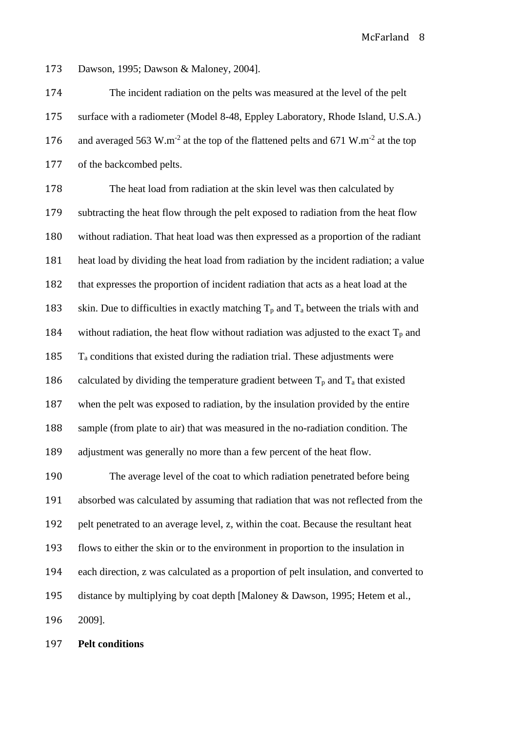Dawson, 1995; Dawson & Maloney, 2004].

 The incident radiation on the pelts was measured at the level of the pelt surface with a radiometer (Model 8-48, Eppley Laboratory, Rhode Island, U.S.A.) 176 and averaged 563 W.m<sup>-2</sup> at the top of the flattened pelts and 671 W.m<sup>-2</sup> at the top of the backcombed pelts.

 The heat load from radiation at the skin level was then calculated by subtracting the heat flow through the pelt exposed to radiation from the heat flow without radiation. That heat load was then expressed as a proportion of the radiant heat load by dividing the heat load from radiation by the incident radiation; a value that expresses the proportion of incident radiation that acts as a heat load at the 183 skin. Due to difficulties in exactly matching  $T_p$  and  $T_a$  between the trials with and 184 without radiation, the heat flow without radiation was adjusted to the exact  $T_p$  and  $T_a$  conditions that existed during the radiation trial. These adjustments were 186 calculated by dividing the temperature gradient between  $T_p$  and  $T_a$  that existed when the pelt was exposed to radiation, by the insulation provided by the entire sample (from plate to air) that was measured in the no-radiation condition. The adjustment was generally no more than a few percent of the heat flow. The average level of the coat to which radiation penetrated before being

 absorbed was calculated by assuming that radiation that was not reflected from the pelt penetrated to an average level, z, within the coat. Because the resultant heat flows to either the skin or to the environment in proportion to the insulation in each direction, z was calculated as a proportion of pelt insulation, and converted to distance by multiplying by coat depth [Maloney & Dawson, 1995; Hetem et al., 2009].

**Pelt conditions**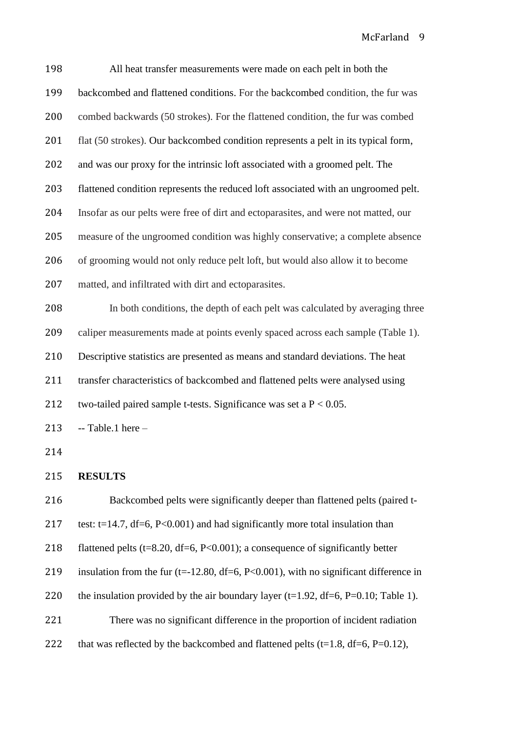| 198 | All heat transfer measurements were made on each pelt in both the                          |
|-----|--------------------------------------------------------------------------------------------|
| 199 | backcombed and flattened conditions. For the backcombed condition, the fur was             |
| 200 | combed backwards (50 strokes). For the flattened condition, the fur was combed             |
| 201 | flat (50 strokes). Our backcombed condition represents a pelt in its typical form,         |
| 202 | and was our proxy for the intrinsic loft associated with a groomed pelt. The               |
| 203 | flattened condition represents the reduced loft associated with an ungroomed pelt.         |
| 204 | Insofar as our pelts were free of dirt and ectoparasites, and were not matted, our         |
| 205 | measure of the ungroomed condition was highly conservative; a complete absence             |
| 206 | of grooming would not only reduce pelt loft, but would also allow it to become             |
| 207 | matted, and infiltrated with dirt and ectoparasites.                                       |
| 208 | In both conditions, the depth of each pelt was calculated by averaging three               |
| 209 | caliper measurements made at points evenly spaced across each sample (Table 1).            |
| 210 | Descriptive statistics are presented as means and standard deviations. The heat            |
| 211 | transfer characteristics of backcombed and flattened pelts were analysed using             |
| 212 | two-tailed paired sample t-tests. Significance was set a $P < 0.05$ .                      |
| 213 | $-$ Table.1 here $-$                                                                       |
| 214 |                                                                                            |
| 215 | <b>RESULTS</b>                                                                             |
| 216 | Backcombed pelts were significantly deeper than flattened pelts (paired t-                 |
| 217 | test: t=14.7, $df=6$ , P<0.001) and had significantly more total insulation than           |
| 218 | flattened pelts ( $t=8.20$ , $df=6$ , $P<0.001$ ); a consequence of significantly better   |
| 219 | insulation from the fur ( $t=12.80$ , $df=6$ , P<0.001), with no significant difference in |
| 220 | the insulation provided by the air boundary layer (t=1.92, df=6, P=0.10; Table 1).         |
| 221 | There was no significant difference in the proportion of incident radiation                |
| 222 | that was reflected by the backcombed and flattened pelts (t=1.8, df=6, P=0.12),            |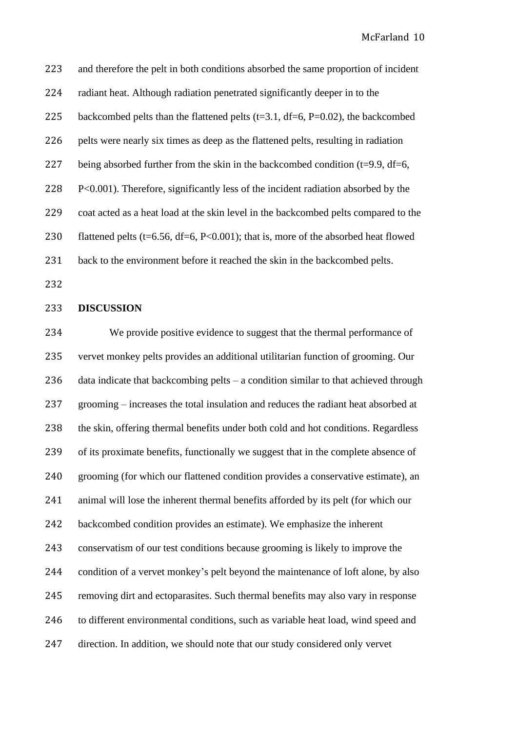and therefore the pelt in both conditions absorbed the same proportion of incident radiant heat. Although radiation penetrated significantly deeper in to the 225 backcombed pelts than the flattened pelts  $(t=3.1, df=6, P=0.02)$ , the backcombed pelts were nearly six times as deep as the flattened pelts, resulting in radiation 227 being absorbed further from the skin in the backcombed condition  $(t=9.9, df=6,$  P<0.001). Therefore, significantly less of the incident radiation absorbed by the coat acted as a heat load at the skin level in the backcombed pelts compared to the 230 flattened pelts (t=6.56, df=6,  $P<0.001$ ); that is, more of the absorbed heat flowed back to the environment before it reached the skin in the backcombed pelts.

## **DISCUSSION**

 We provide positive evidence to suggest that the thermal performance of vervet monkey pelts provides an additional utilitarian function of grooming. Our data indicate that backcombing pelts – a condition similar to that achieved through grooming – increases the total insulation and reduces the radiant heat absorbed at the skin, offering thermal benefits under both cold and hot conditions. Regardless of its proximate benefits, functionally we suggest that in the complete absence of grooming (for which our flattened condition provides a conservative estimate), an animal will lose the inherent thermal benefits afforded by its pelt (for which our backcombed condition provides an estimate). We emphasize the inherent conservatism of our test conditions because grooming is likely to improve the condition of a vervet monkey's pelt beyond the maintenance of loft alone, by also removing dirt and ectoparasites. Such thermal benefits may also vary in response to different environmental conditions, such as variable heat load, wind speed and direction. In addition, we should note that our study considered only vervet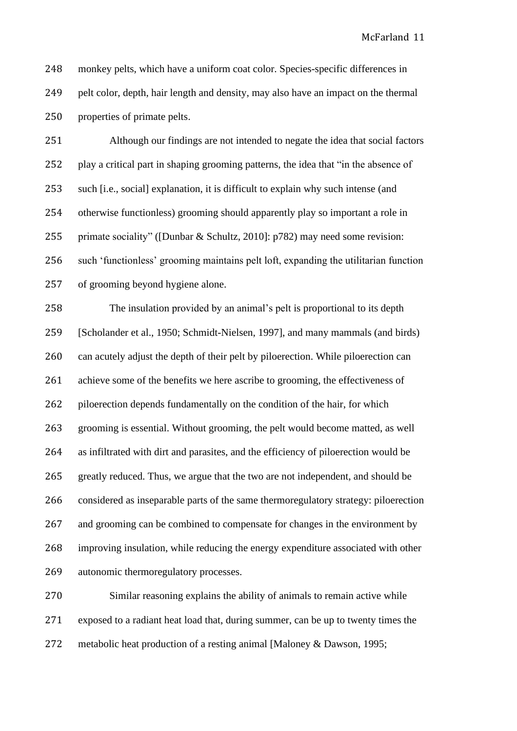monkey pelts, which have a uniform coat color. Species-specific differences in pelt color, depth, hair length and density, may also have an impact on the thermal properties of primate pelts.

 Although our findings are not intended to negate the idea that social factors play a critical part in shaping grooming patterns, the idea that "in the absence of such [i.e., social] explanation, it is difficult to explain why such intense (and otherwise functionless) grooming should apparently play so important a role in primate sociality" ([Dunbar & Schultz, 2010]: p782) may need some revision: such 'functionless' grooming maintains pelt loft, expanding the utilitarian function of grooming beyond hygiene alone.

 The insulation provided by an animal's pelt is proportional to its depth [Scholander et al., 1950; Schmidt-Nielsen, 1997], and many mammals (and birds) can acutely adjust the depth of their pelt by piloerection. While piloerection can achieve some of the benefits we here ascribe to grooming, the effectiveness of 262 piloerection depends fundamentally on the condition of the hair, for which grooming is essential. Without grooming, the pelt would become matted, as well as infiltrated with dirt and parasites, and the efficiency of piloerection would be greatly reduced. Thus, we argue that the two are not independent, and should be considered as inseparable parts of the same thermoregulatory strategy: piloerection and grooming can be combined to compensate for changes in the environment by improving insulation, while reducing the energy expenditure associated with other autonomic thermoregulatory processes.

 Similar reasoning explains the ability of animals to remain active while exposed to a radiant heat load that, during summer, can be up to twenty times the metabolic heat production of a resting animal [Maloney & Dawson, 1995;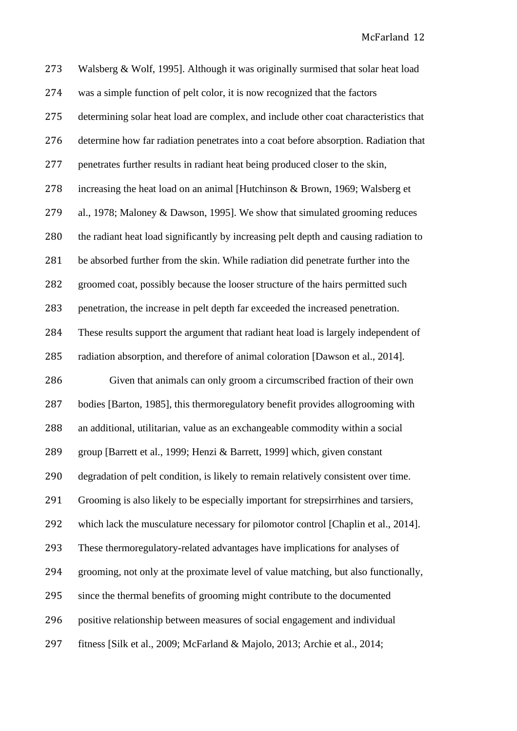| 273 | Walsberg & Wolf, 1995]. Although it was originally surmised that solar heat load      |
|-----|---------------------------------------------------------------------------------------|
| 274 | was a simple function of pelt color, it is now recognized that the factors            |
| 275 | determining solar heat load are complex, and include other coat characteristics that  |
| 276 | determine how far radiation penetrates into a coat before absorption. Radiation that  |
| 277 | penetrates further results in radiant heat being produced closer to the skin,         |
| 278 | increasing the heat load on an animal [Hutchinson & Brown, 1969; Walsberg et          |
| 279 | al., 1978; Maloney & Dawson, 1995]. We show that simulated grooming reduces           |
| 280 | the radiant heat load significantly by increasing pelt depth and causing radiation to |
| 281 | be absorbed further from the skin. While radiation did penetrate further into the     |
| 282 | groomed coat, possibly because the looser structure of the hairs permitted such       |
| 283 | penetration, the increase in pelt depth far exceeded the increased penetration.       |
| 284 | These results support the argument that radiant heat load is largely independent of   |
| 285 | radiation absorption, and therefore of animal coloration [Dawson et al., 2014].       |
| 286 | Given that animals can only groom a circumscribed fraction of their own               |
| 287 | bodies [Barton, 1985], this thermoregulatory benefit provides allogrooming with       |
| 288 | an additional, utilitarian, value as an exchangeable commodity within a social        |
| 289 | group [Barrett et al., 1999; Henzi & Barrett, 1999] which, given constant             |
| 290 | degradation of pelt condition, is likely to remain relatively consistent over time.   |
| 291 | Grooming is also likely to be especially important for strepsirrhines and tarsiers,   |
| 292 | which lack the musculature necessary for pilomotor control [Chaplin et al., 2014].    |
| 293 | These thermoregulatory-related advantages have implications for analyses of           |
| 294 | grooming, not only at the proximate level of value matching, but also functionally,   |
| 295 | since the thermal benefits of grooming might contribute to the documented             |
| 296 | positive relationship between measures of social engagement and individual            |
| 297 | fitness [Silk et al., 2009; McFarland & Majolo, 2013; Archie et al., 2014;            |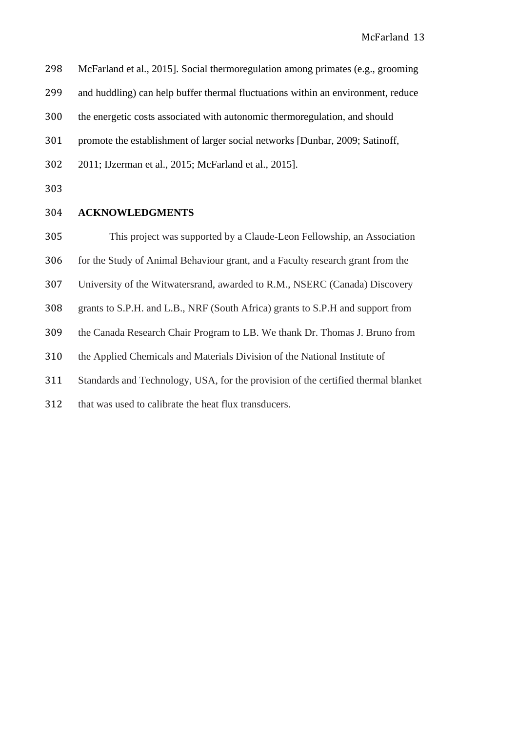| 298 | McFarland et al., 2015]. Social thermoregulation among primates (e.g., grooming |  |  |  |
|-----|---------------------------------------------------------------------------------|--|--|--|
|     |                                                                                 |  |  |  |

and huddling) can help buffer thermal fluctuations within an environment, reduce

the energetic costs associated with autonomic thermoregulation, and should

promote the establishment of larger social networks [Dunbar, 2009; Satinoff,

- 2011; IJzerman et al., 2015; McFarland et al., 2015].
- 

## **ACKNOWLEDGMENTS**

This project was supported by a Claude-Leon Fellowship, an Association

for the Study of Animal Behaviour grant, and a Faculty research grant from the

- University of the Witwatersrand, awarded to R.M., NSERC (Canada) Discovery
- grants to S.P.H. and L.B., NRF (South Africa) grants to S.P.H and support from
- the Canada Research Chair Program to LB. We thank Dr. Thomas J. Bruno from
- the Applied Chemicals and Materials Division of the National Institute of
- Standards and Technology, USA, for the provision of the certified thermal blanket
- that was used to calibrate the heat flux transducers.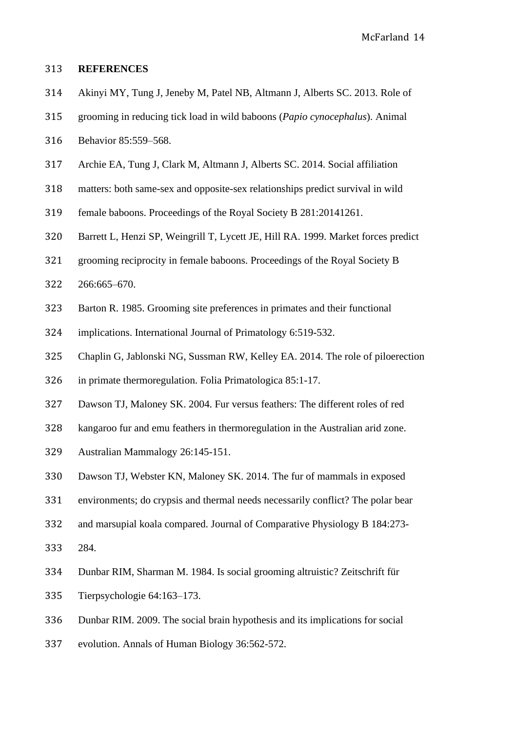### **REFERENCES**

- Akinyi MY, Tung J, Jeneby M, Patel NB, Altmann J, Alberts SC. 2013. Role of
- grooming in reducing tick load in wild baboons (*Papio cynocephalus*). Animal
- Behavior 85:559–568.
- Archie EA, Tung J, Clark M, Altmann J, Alberts SC. 2014. Social affiliation
- matters: both same-sex and opposite-sex relationships predict survival in wild
- female baboons. Proceedings of the Royal Society B 281:20141261.
- Barrett L, Henzi SP, Weingrill T, Lycett JE, Hill RA. 1999. Market forces predict
- grooming reciprocity in female baboons. Proceedings of the Royal Society B
- 266:665–670.
- Barton R. 1985. Grooming site preferences in primates and their functional
- implications. International Journal of Primatology 6:519-532.
- Chaplin G, Jablonski NG, Sussman RW, Kelley EA. 2014. The role of piloerection
- in primate thermoregulation. Folia Primatologica 85:1-17.
- Dawson TJ, Maloney SK. 2004. Fur versus feathers: The different roles of red
- kangaroo fur and emu feathers in thermoregulation in the Australian arid zone.
- Australian Mammalogy 26:145-151.
- Dawson TJ, Webster KN, Maloney SK. 2014. The fur of mammals in exposed
- environments; do crypsis and thermal needs necessarily conflict? The polar bear
- and marsupial koala compared. Journal of Comparative Physiology B 184:273-
- 284.
- Dunbar RIM, Sharman M. 1984. Is social grooming altruistic? Zeitschrift für
- Tierpsychologie 64:163–173.
- Dunbar RIM. 2009. The social brain hypothesis and its implications for social
- evolution. Annals of Human Biology 36:562-572.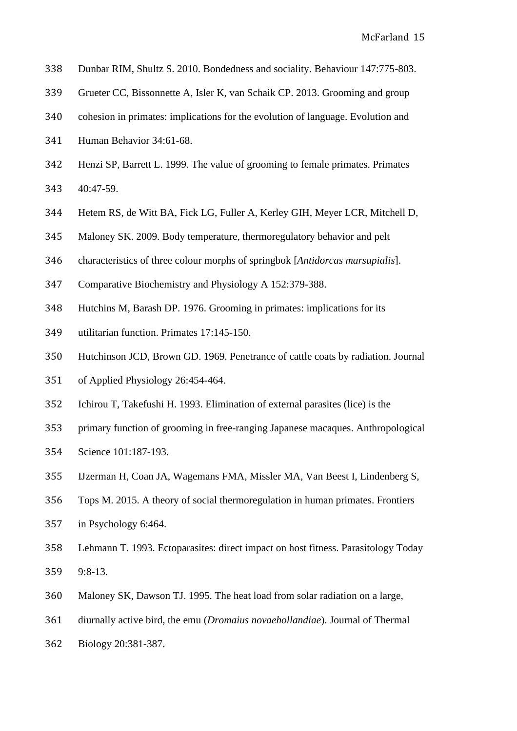- Dunbar RIM, Shultz S. 2010. Bondedness and sociality. Behaviour 147:775-803.
- Grueter CC, Bissonnette A, Isler K, van Schaik CP. 2013. Grooming and group
- cohesion in primates: implications for the evolution of language. Evolution and
- Human Behavior 34:61-68.
- Henzi SP, Barrett L. 1999. The value of grooming to female primates. Primates
- 40:47-59.
- Hetem RS, de Witt BA, Fick LG, Fuller A, Kerley GIH, Meyer LCR, Mitchell D,
- Maloney SK. 2009. Body temperature, thermoregulatory behavior and pelt
- characteristics of three colour morphs of springbok [*Antidorcas marsupialis*].
- Comparative Biochemistry and Physiology A 152:379-388.
- Hutchins M, Barash DP. 1976. Grooming in primates: implications for its
- utilitarian function. Primates 17:145-150.
- Hutchinson JCD, Brown GD. 1969. Penetrance of cattle coats by radiation. Journal
- of Applied Physiology 26:454-464.
- Ichirou T, Takefushi H. 1993. Elimination of external parasites (lice) is the
- primary function of grooming in free-ranging Japanese macaques. Anthropological
- Science 101:187-193.
- IJzerman H, Coan JA, Wagemans FMA, Missler MA, Van Beest I, Lindenberg S,
- Tops M. 2015. A theory of social thermoregulation in human primates. Frontiers
- in Psychology 6:464.
- Lehmann T. 1993. Ectoparasites: direct impact on host fitness. Parasitology Today 9:8-13.
- Maloney SK, Dawson TJ. 1995. The heat load from solar radiation on a large,
- diurnally active bird, the emu (*Dromaius novaehollandiae*). Journal of Thermal
- Biology 20:381-387.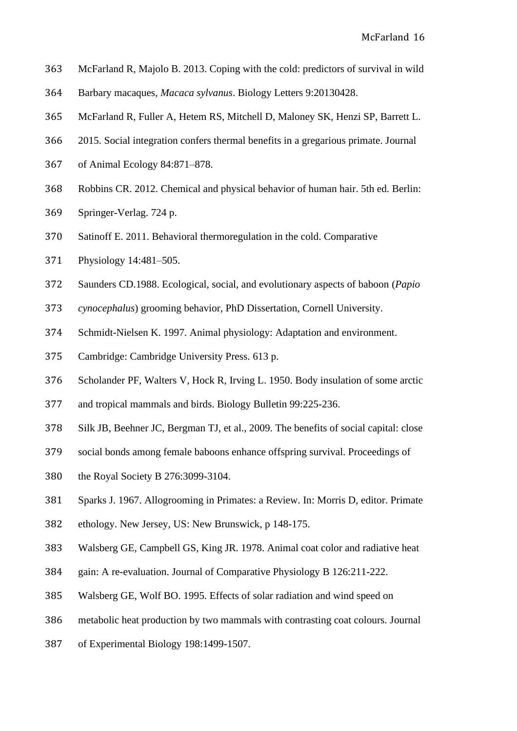- McFarland R, Majolo B. 2013. Coping with the cold: predictors of survival in wild
- Barbary macaques, *Macaca sylvanus*. Biology Letters 9:20130428.
- McFarland R, Fuller A, Hetem RS, Mitchell D, Maloney SK, Henzi SP, Barrett L.
- 2015. Social integration confers thermal benefits in a gregarious primate. Journal
- of Animal Ecology 84:871–878.
- Robbins CR. 2012. Chemical and physical behavior of human hair. 5th ed. Berlin:
- Springer-Verlag. 724 p.
- Satinoff E. 2011. Behavioral thermoregulation in the cold. Comparative
- Physiology 14:481–505.
- Saunders CD.1988. Ecological, social, and evolutionary aspects of baboon (*Papio*
- *cynocephalus*) grooming behavior, PhD Dissertation, Cornell University.
- Schmidt-Nielsen K. 1997. Animal physiology: Adaptation and environment.
- Cambridge: Cambridge University Press. 613 p.
- Scholander PF, Walters V, Hock R, Irving L. 1950. Body insulation of some arctic
- and tropical mammals and birds. Biology Bulletin 99:225-236.
- Silk JB, Beehner JC, Bergman TJ, et al., 2009. The benefits of social capital: close
- social bonds among female baboons enhance offspring survival. Proceedings of
- the Royal Society B 276:3099-3104.
- Sparks J. 1967. Allogrooming in Primates: a Review. In: Morris D, editor. Primate
- ethology. New Jersey, US: New Brunswick, p 148-175.
- Walsberg GE, Campbell GS, King JR. 1978. Animal coat color and radiative heat
- gain: A re-evaluation. Journal of Comparative Physiology B 126:211-222.
- Walsberg GE, Wolf BO. 1995. Effects of solar radiation and wind speed on
- metabolic heat production by two mammals with contrasting coat colours. Journal
- of Experimental Biology 198:1499-1507.